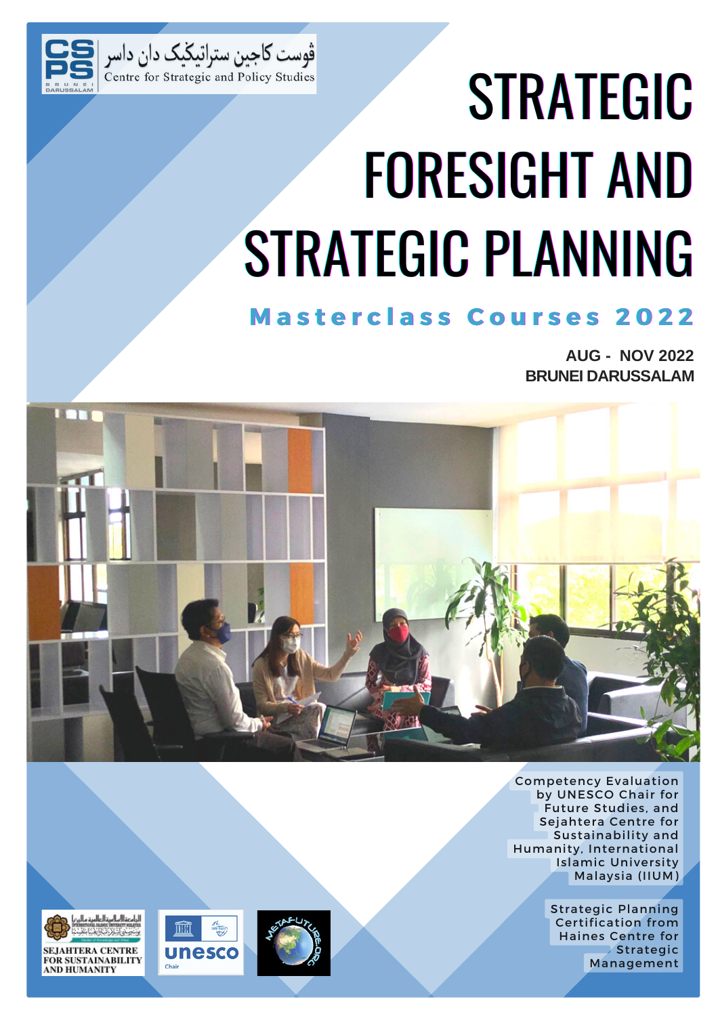

# STRATEGIC FORESIGHT AND STRATEGIC PLANNING

# **M a s t e r c l a s s C o u r s e s 2 0 2 2**

**AUG - NOV 2022 BRUNEI DARUSSALAM**



Competency Evaluation by UNESCO Chair for Future Studies, and Sejahtera Centre for Sustainability and Humanity, International Islamic University Malaysia (IIUM)

> Strategic Planning Certification from Haines Centre for Strategic Management

![](_page_0_Picture_7.jpeg)

![](_page_0_Picture_8.jpeg)

![](_page_0_Picture_9.jpeg)

![](_page_0_Picture_10.jpeg)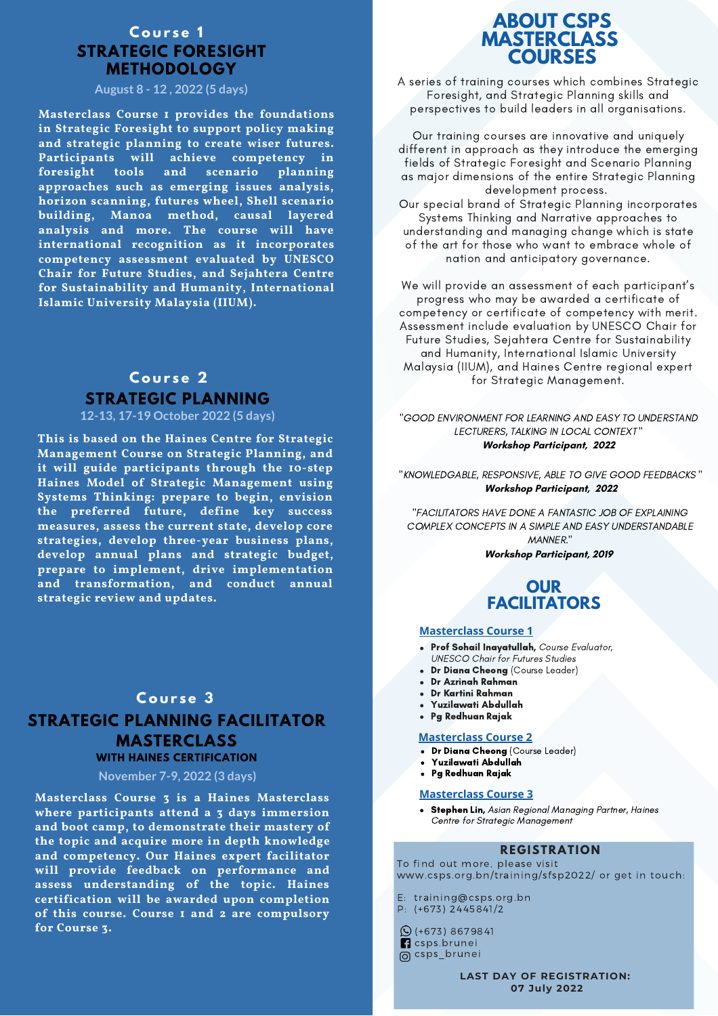#### **STRATEGIC FORESIGHT METHODOLOGY C o u r s e 1**

#### **August 8 - 12 , 2022 (5 days)**

**Masterclass Course 1 provides the foundations in Strategic Foresight to support policy making and strategic planning to create wiser futures. Participants will achieve competency in foresight tools and scenario planning approaches such as emerging issues analysis, horizon scanning, futures wheel, Shell scenario building, Manoa method, causal layered analysis and more. The course will have international recognition as it incorporates competency assessment evaluated by UNESCO Chair for Future Studies, and Sejahtera Centre for Sustainability and Humanity, International Islamic University Malaysia (IIUM).**

# **STRATEGIC PLANNING C o u r s e 2**

#### **12-13, 17-19 October 2022 (5 days)**

**This is based on the Haines Centre for Strategic Management Course on Strategic Planning, and it will guide participants through the 10-step Haines Model of Strategic Management using Systems Thinking: prepare to begin, envision the preferred future, define key success measures, assess the current state, develop core strategies, develop three-year business plans, develop annual plans and strategic budget, prepare to implement, drive implementation and transformation, and conduct annual strategic review and updates.**

# **C o u r s e 3 STRATEGIC PLANNING FACILITATOR MASTERCLASS**

#### **WITH HAINES CERTIFICATION**

#### **November 7-9, 2022 (3 days)**

**Masterclass Course 3 is a Haines Masterclass where participants attend a 3 days immersion and boot camp, to demonstrate their mastery of the topic and acquire more in depth knowledge and competency. Our Haines expert facilitator will provide feedback on performance and assess understanding of the topic. Haines certification will be awarded upon completion of this course. Course 1 and 2 are compulsory for Course 3.**

# **ABOUT CSPS MASTERCLASS COURSES**

A series of training courses which combines Strategic Foresight, and Strategic Planning skills and perspectives to build leaders in all organisations.

Our training courses are innovative and uniquely different in approach as they introduce the emerging fields of Strategic Foresight and Scenario Planning as major dimensions of the entire Strategic Planning development process.

Our special brand of Strategic Planning incorporates Systems Thinking and Narrative approaches to understanding and managing change which is state of the art for those who want to embrace whole of nation and anticipatory governance.

We will provide an assessment of each participant's progress who may be awarded a certificate of competency or certificate of competency with merit. Assessment include evaluation by UNESCO Chair for Future Studies, Sejahtera Centre for Sustainability and Humanity, International Islamic University Malaysia (IIUM), and Haines Centre regional expert for Strategic Management.

"GOOD ENVIRONMENT FOR LEARNING AND EASY TO UNDERSTAND LECTURERS, TALKING IN LOCAL CONTEXT " **Workshop Participant, 2022**

"KNOWLEDGABLE, RESPONSIVE, ABLE TO GIVE GOOD FEEDBACKS " **Workshop Participant, 2022**

"FACILITATORS HAVE DONE A FANTASTIC JOB OF EXPLAINING COMPLEX CONCEPTS IN A SIMPLE AND EASY UNDERSTANDABLE MANNER." **Workshop Participant, 2019**

## **OUR FACILITATORS**

#### **Masterclass Course 1**

- Prof Sohail Inayatullah, Course Evaluator, UNESCO Chair for Futures Studies
- Dr Diana Cheong (Course Leader)
- Dr Azrinah Rahman
- Dr Kartini Rahman
- Yuzilawati Abdullah
- Pg Redhuan Rajak

#### **Masterclass Course 2**

- Dr Diana Cheong (Course Leader)
- Yuzilawati Abdullah
- Pg Redhuan Rajak

#### **Masterclass Course 3**

• Stephen Lin, Asian Regional Managing Partner, Haines Centre for Strategic Management

#### **REGISTRATION**

To find out more, please visit www.csps.org.bn/training/sfsp2022/ or get in touch:

E: training@csps.org.bn P: (+673) 2445841/2

(+673) 8679841 **n** csps.brunei @ csps\_brunei

> **LAST DAY OF REGISTRATION: 07 July 2022**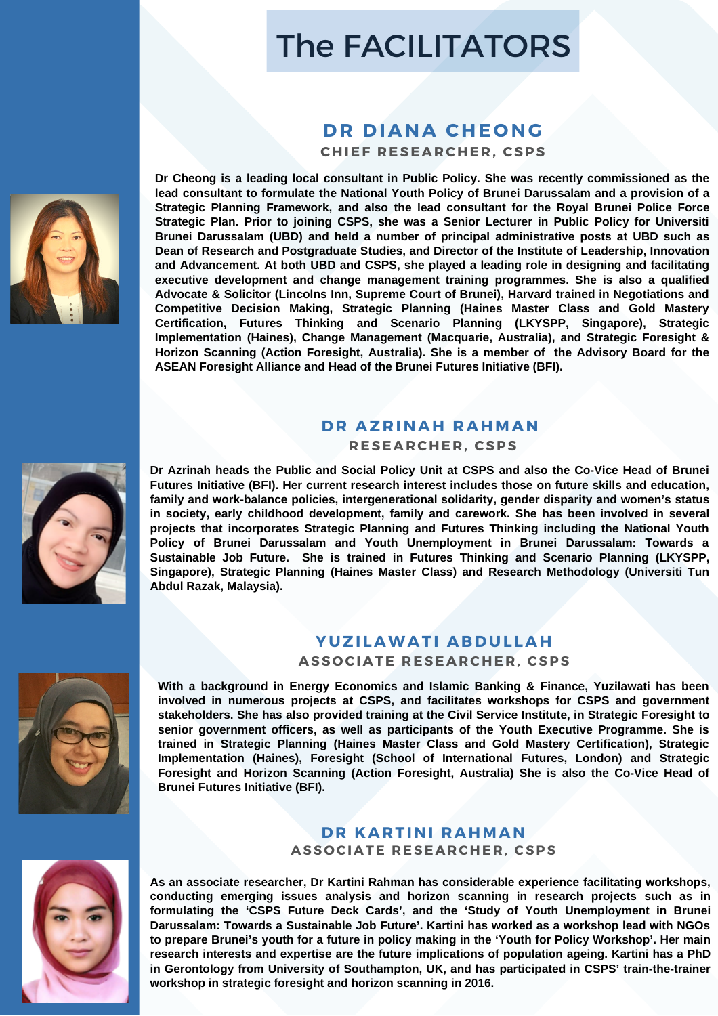# The FACILITATORS

# **DR** DIANA CHEONG

 $CHIEF RESEARCHER, CSPS$ 

**Dr Cheong is a leading local consultant in Public Policy. She was recently commissioned as the lead consultant to formulate the National Youth Policy of Brunei Darussalam and a provision of a Strategic Planning Framework, and also the lead consultant for the Royal Brunei Police Force Strategic Plan. Prior to joining CSPS, she was a Senior Lecturer in Public Policy for Universiti Brunei Darussalam (UBD) and held a number of principal administrative posts at UBD such as Dean of Research and Postgraduate Studies, and Director of the Institute of Leadership, Innovation and Advancement. At both UBD and CSPS, she played a leading role in designing and facilitating executive development and change management training programmes. She is also a qualified Advocate & Solicitor (Lincolns Inn, Supreme Court of Brunei), Harvard trained in Negotiations and Competitive Decision Making, Strategic Planning (Haines Master Class and Gold Mastery Certification, Futures Thinking and Scenario Planning (LKYSPP, Singapore), Strategic Implementation (Haines), Change Management (Macquarie, Australia), and Strategic Foresight & Horizon Scanning (Action Foresight, Australia). She is a member of the Advisory Board for the ASEAN Foresight Alliance and Head of the Brunei Futures Initiative (BFI).**

#### **DR AZ R INAH RAHMAN R ESEAR CHE R , CSPS**

**Dr Azrinah heads the Public and Social Policy Unit at CSPS and also the Co-Vice Head of Brunei Futures Initiative (BFI). Her current research interest includes those on future skills and education, family and work-balance policies, intergenerational solidarity, gender disparity and women's status in society, early childhood development, family and carework. She has been involved in several projects that incorporates Strategic Planning and Futures Thinking including the National Youth Policy of Brunei Darussalam and Youth Unemployment in Brunei Darussalam: Towards a Sustainable Job Future. She is trained in Futures Thinking and Scenario Planning (LKYSPP, Singapore), Strategic Planning (Haines Master Class) and Research Methodology (Universiti Tun Abdul Razak, Malaysia).**

### **YUZI LAWATI ABDUL LAH**

**ASS O CIATE R ESEAR CHE R , CSPS**

**With a background in Energy Economics and Islamic Banking & Finance, Yuzilawati has been involved in numerous projects at CSPS, and facilitates workshops for CSPS and government stakeholders. She has also provided training at the Civil Service Institute, in Strategic Foresight to senior government officers, as well as participants of the Youth Executive Programme. She is trained in Strategic Planning (Haines Master Class and Gold Mastery Certification), Strategic Implementation (Haines), Foresight (School of International Futures, London) and Strategic Foresight and Horizon Scanning (Action Foresight, Australia) She is also the Co-Vice Head of Brunei Futures Initiative (BFI).**

#### **DR KAR TINI RAHMAN ASS O CIATE R ESEAR CHE R , CSPS**

**As an associate researcher, Dr Kartini Rahman has considerable experience facilitating workshops, conducting emerging issues analysis and horizon scanning in research projects such as in formulating the 'CSPS Future Deck Cards', and the 'Study of Youth Unemployment in Brunei Darussalam: Towards a Sustainable Job Future'. Kartini has worked as a workshop lead with NGOs** to prepare Brunei's youth for a future in policy making in the 'Youth for Policy Workshop'. Her main **research interests and expertise are the future implications of population ageing. Kartini has a PhD in Gerontology from University of Southampton, UK, and has participated in CSPS' train-the-trainer workshop in strategic foresight and horizon scanning in 2016.**

![](_page_2_Picture_11.jpeg)

![](_page_2_Picture_12.jpeg)

![](_page_2_Picture_13.jpeg)

![](_page_2_Picture_14.jpeg)